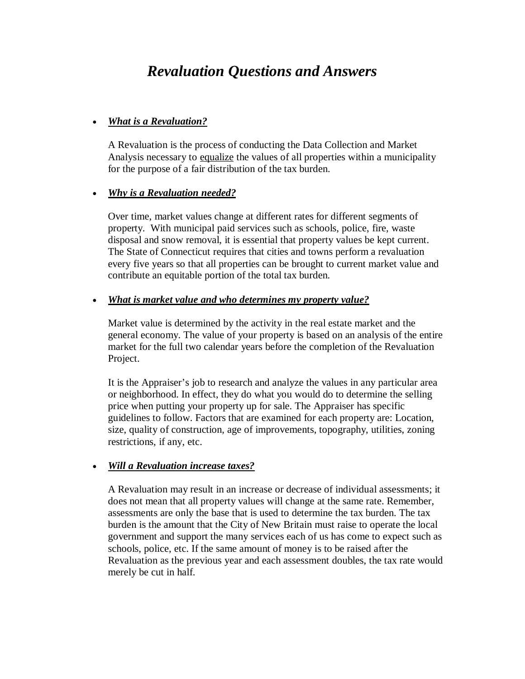# *Revaluation Questions and Answers*

# *What is a Revaluation?*

A Revaluation is the process of conducting the Data Collection and Market Analysis necessary to equalize the values of all properties within a municipality for the purpose of a fair distribution of the tax burden.

## *Why is a Revaluation needed?*

Over time, market values change at different rates for different segments of property. With municipal paid services such as schools, police, fire, waste disposal and snow removal, it is essential that property values be kept current. The State of Connecticut requires that cities and towns perform a revaluation every five years so that all properties can be brought to current market value and contribute an equitable portion of the total tax burden.

## *What is market value and who determines my property value?*

Market value is determined by the activity in the real estate market and the general economy. The value of your property is based on an analysis of the entire market for the full two calendar years before the completion of the Revaluation Project.

It is the Appraiser's job to research and analyze the values in any particular area or neighborhood. In effect, they do what you would do to determine the selling price when putting your property up for sale. The Appraiser has specific guidelines to follow. Factors that are examined for each property are: Location, size, quality of construction, age of improvements, topography, utilities, zoning restrictions, if any, etc.

#### *Will a Revaluation increase taxes?*

A Revaluation may result in an increase or decrease of individual assessments; it does not mean that all property values will change at the same rate. Remember, assessments are only the base that is used to determine the tax burden. The tax burden is the amount that the City of New Britain must raise to operate the local government and support the many services each of us has come to expect such as schools, police, etc. If the same amount of money is to be raised after the Revaluation as the previous year and each assessment doubles, the tax rate would merely be cut in half.